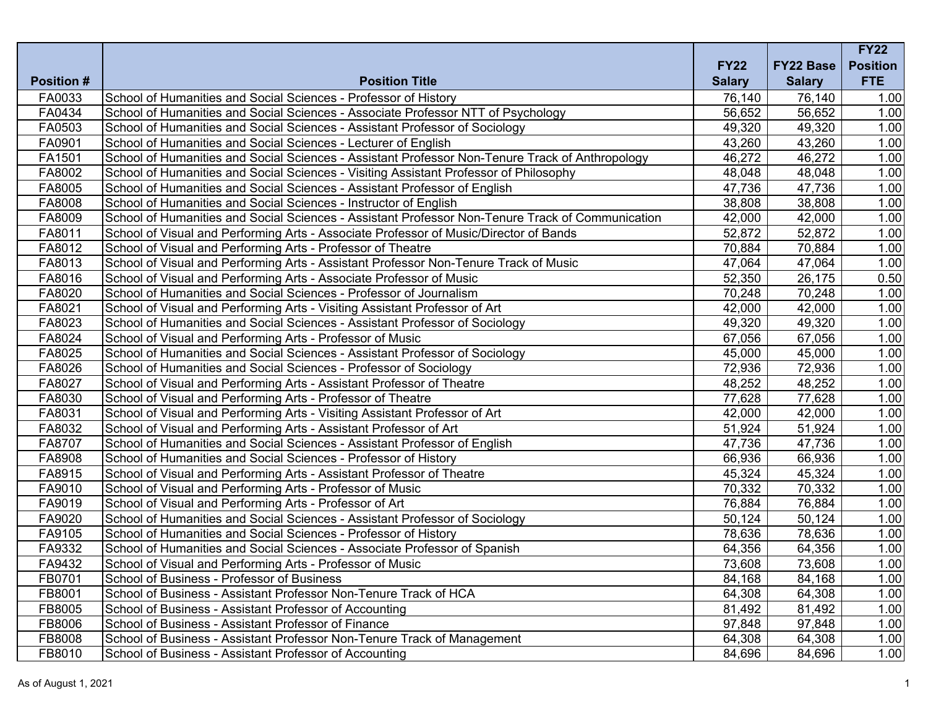|                   |                                                                                                  |               |                  | <b>FY22</b>     |
|-------------------|--------------------------------------------------------------------------------------------------|---------------|------------------|-----------------|
|                   |                                                                                                  | <b>FY22</b>   | <b>FY22 Base</b> | <b>Position</b> |
| <b>Position #</b> | <b>Position Title</b>                                                                            | <b>Salary</b> | <b>Salary</b>    | <b>FTE</b>      |
| FA0033            | School of Humanities and Social Sciences - Professor of History                                  | 76,140        | 76,140           | 1.00            |
| FA0434            | School of Humanities and Social Sciences - Associate Professor NTT of Psychology                 | 56,652        | 56,652           | 1.00            |
| FA0503            | School of Humanities and Social Sciences - Assistant Professor of Sociology                      | 49,320        | 49,320           | 1.00            |
| FA0901            | School of Humanities and Social Sciences - Lecturer of English                                   | 43,260        | 43,260           | 1.00            |
| FA1501            | School of Humanities and Social Sciences - Assistant Professor Non-Tenure Track of Anthropology  | 46,272        | 46,272           | 1.00            |
| FA8002            | School of Humanities and Social Sciences - Visiting Assistant Professor of Philosophy            | 48,048        | 48,048           | 1.00            |
| FA8005            | School of Humanities and Social Sciences - Assistant Professor of English                        | 47,736        | 47,736           | 1.00            |
| FA8008            | School of Humanities and Social Sciences - Instructor of English                                 | 38,808        | 38,808           | 1.00            |
| FA8009            | School of Humanities and Social Sciences - Assistant Professor Non-Tenure Track of Communication | 42,000        | 42,000           | 1.00            |
| FA8011            | School of Visual and Performing Arts - Associate Professor of Music/Director of Bands            | 52,872        | 52,872           | 1.00            |
| FA8012            | School of Visual and Performing Arts - Professor of Theatre                                      | 70,884        | 70,884           | 1.00            |
| FA8013            | School of Visual and Performing Arts - Assistant Professor Non-Tenure Track of Music             | 47,064        | 47,064           | 1.00            |
| FA8016            | School of Visual and Performing Arts - Associate Professor of Music                              | 52,350        | 26,175           | 0.50            |
| FA8020            | School of Humanities and Social Sciences - Professor of Journalism                               | 70,248        | 70,248           | 1.00            |
| FA8021            | School of Visual and Performing Arts - Visiting Assistant Professor of Art                       | 42,000        | 42,000           | 1.00            |
| FA8023            | School of Humanities and Social Sciences - Assistant Professor of Sociology                      | 49,320        | 49,320           | 1.00            |
| FA8024            | School of Visual and Performing Arts - Professor of Music                                        | 67,056        | 67,056           | 1.00            |
| FA8025            | School of Humanities and Social Sciences - Assistant Professor of Sociology                      | 45,000        | 45,000           | 1.00            |
| FA8026            | School of Humanities and Social Sciences - Professor of Sociology                                | 72,936        | 72,936           | 1.00            |
| FA8027            | School of Visual and Performing Arts - Assistant Professor of Theatre                            | 48,252        | 48,252           | 1.00            |
| FA8030            | School of Visual and Performing Arts - Professor of Theatre                                      | 77,628        | 77,628           | 1.00            |
| FA8031            | School of Visual and Performing Arts - Visiting Assistant Professor of Art                       | 42,000        | 42,000           | 1.00            |
| FA8032            | School of Visual and Performing Arts - Assistant Professor of Art                                | 51,924        | 51,924           | 1.00            |
| FA8707            | School of Humanities and Social Sciences - Assistant Professor of English                        | 47,736        | 47,736           | 1.00            |
| FA8908            | School of Humanities and Social Sciences - Professor of History                                  | 66,936        | 66,936           | 1.00            |
| FA8915            | School of Visual and Performing Arts - Assistant Professor of Theatre                            | 45,324        | 45,324           | 1.00            |
| FA9010            | School of Visual and Performing Arts - Professor of Music                                        | 70,332        | 70,332           | 1.00            |
| FA9019            | School of Visual and Performing Arts - Professor of Art                                          | 76,884        | 76,884           | 1.00            |
| FA9020            | School of Humanities and Social Sciences - Assistant Professor of Sociology                      | 50,124        | 50,124           | 1.00            |
| FA9105            | School of Humanities and Social Sciences - Professor of History                                  | 78,636        | 78,636           | 1.00            |
| FA9332            | School of Humanities and Social Sciences - Associate Professor of Spanish                        | 64,356        | 64,356           | 1.00            |
| FA9432            | School of Visual and Performing Arts - Professor of Music                                        | 73,608        | 73,608           | 1.00            |
| FB0701            | School of Business - Professor of Business                                                       | 84,168        | 84,168           | 1.00            |
| FB8001            | School of Business - Assistant Professor Non-Tenure Track of HCA                                 | 64,308        | 64,308           | 1.00            |
| FB8005            | School of Business - Assistant Professor of Accounting                                           | 81,492        | 81,492           | 1.00            |
| FB8006            | School of Business - Assistant Professor of Finance                                              | 97,848        | 97,848           | 1.00            |
| FB8008            | School of Business - Assistant Professor Non-Tenure Track of Management                          | 64,308        | 64,308           | 1.00            |
| FB8010            | School of Business - Assistant Professor of Accounting                                           | 84,696        | 84,696           | 1.00            |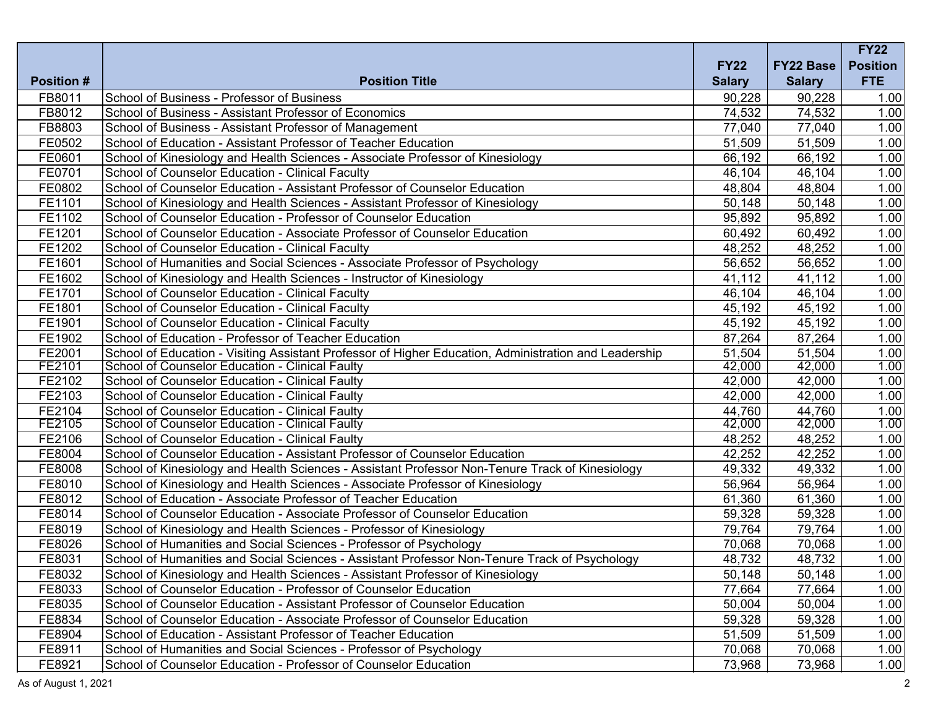|                   |                                                                                                       |               |                  | <b>FY22</b>     |
|-------------------|-------------------------------------------------------------------------------------------------------|---------------|------------------|-----------------|
|                   |                                                                                                       | <b>FY22</b>   | <b>FY22 Base</b> | <b>Position</b> |
| <b>Position #</b> | <b>Position Title</b>                                                                                 | <b>Salary</b> | <b>Salary</b>    | <b>FTE</b>      |
| FB8011            | School of Business - Professor of Business                                                            | 90,228        | 90,228           | 1.00            |
| FB8012            | School of Business - Assistant Professor of Economics                                                 | 74,532        | 74,532           | 1.00            |
| FB8803            | School of Business - Assistant Professor of Management                                                | 77,040        | 77,040           | 1.00            |
| FE0502            | School of Education - Assistant Professor of Teacher Education                                        | 51,509        | 51,509           | 1.00            |
| FE0601            | School of Kinesiology and Health Sciences - Associate Professor of Kinesiology                        | 66,192        | 66,192           | 1.00            |
| FE0701            | School of Counselor Education - Clinical Faculty                                                      | 46,104        | 46,104           | 1.00            |
| FE0802            | School of Counselor Education - Assistant Professor of Counselor Education                            | 48,804        | 48,804           | 1.00            |
| FE1101            | School of Kinesiology and Health Sciences - Assistant Professor of Kinesiology                        | 50,148        | 50,148           | 1.00            |
| FE1102            | School of Counselor Education - Professor of Counselor Education                                      | 95,892        | 95,892           | 1.00            |
| FE1201            | School of Counselor Education - Associate Professor of Counselor Education                            | 60,492        | 60,492           | 1.00            |
| FE1202            | School of Counselor Education - Clinical Faculty                                                      | 48,252        | 48,252           | 1.00            |
| FE1601            | School of Humanities and Social Sciences - Associate Professor of Psychology                          | 56,652        | 56,652           | 1.00            |
| FE1602            | School of Kinesiology and Health Sciences - Instructor of Kinesiology                                 | 41,112        | 41,112           | 1.00            |
| FE1701            | School of Counselor Education - Clinical Faculty                                                      | 46,104        | 46,104           | 1.00            |
| FE1801            | School of Counselor Education - Clinical Faculty                                                      | 45,192        | 45,192           | 1.00            |
| FE1901            | School of Counselor Education - Clinical Faculty                                                      | 45,192        | 45,192           | 1.00            |
| FE1902            | School of Education - Professor of Teacher Education                                                  | 87,264        | 87,264           | 1.00            |
| FE2001            | School of Education - Visiting Assistant Professor of Higher Education, Administration and Leadership | 51,504        | 51,504           | 1.00            |
| FE2101            | School of Counselor Education - Clinical Faulty                                                       | 42,000        | 42,000           | 1.00            |
| FE2102            | School of Counselor Education - Clinical Faulty                                                       | 42,000        | 42,000           | 1.00            |
| FE2103            | School of Counselor Education - Clinical Faulty                                                       | 42,000        | 42,000           | 1.00            |
| FE2104            | School of Counselor Education - Clinical Faulty                                                       | 44,760        | 44,760           | 1.00            |
| FE2105            | School of Counselor Education - Clinical Faulty                                                       | 42,000        | 42,000           | 1.00            |
| FE2106            | School of Counselor Education - Clinical Faulty                                                       | 48,252        | 48,252           | 1.00            |
| FE8004            | School of Counselor Education - Assistant Professor of Counselor Education                            | 42,252        | 42,252           | 1.00            |
| FE8008            | School of Kinesiology and Health Sciences - Assistant Professor Non-Tenure Track of Kinesiology       | 49,332        | 49,332           | 1.00            |
| FE8010            | School of Kinesiology and Health Sciences - Associate Professor of Kinesiology                        | 56,964        | 56,964           | 1.00            |
| FE8012            | School of Education - Associate Professor of Teacher Education                                        | 61,360        | 61,360           | 1.00            |
| FE8014            | School of Counselor Education - Associate Professor of Counselor Education                            | 59,328        | 59,328           | 1.00            |
| FE8019            | School of Kinesiology and Health Sciences - Professor of Kinesiology                                  | 79,764        | 79,764           | 1.00            |
| FE8026            | School of Humanities and Social Sciences - Professor of Psychology                                    | 70,068        | 70,068           | 1.00            |
| FE8031            | School of Humanities and Social Sciences - Assistant Professor Non-Tenure Track of Psychology         | 48,732        | 48,732           | 1.00            |
| FE8032            | School of Kinesiology and Health Sciences - Assistant Professor of Kinesiology                        | 50,148        | 50,148           | 1.00            |
| FE8033            | School of Counselor Education - Professor of Counselor Education                                      | 77,664        | 77,664           | 1.00            |
| FE8035            | School of Counselor Education - Assistant Professor of Counselor Education                            | 50,004        | 50,004           | 1.00            |
| FE8834            | School of Counselor Education - Associate Professor of Counselor Education                            | 59,328        | 59,328           | 1.00            |
| FE8904            | School of Education - Assistant Professor of Teacher Education                                        | 51,509        | 51,509           | 1.00            |
| FE8911            | School of Humanities and Social Sciences - Professor of Psychology                                    | 70,068        | 70,068           | 1.00            |
| FE8921            | School of Counselor Education - Professor of Counselor Education                                      | 73,968        | 73,968           | 1.00            |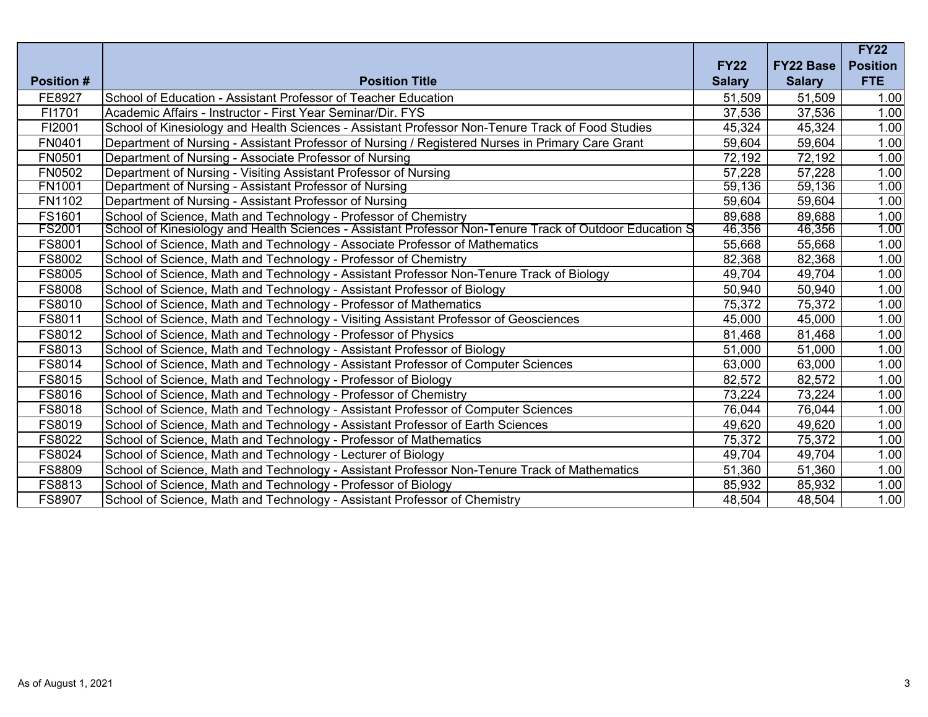|                   |                                                                                                         |               |                  | <b>FY22</b>     |
|-------------------|---------------------------------------------------------------------------------------------------------|---------------|------------------|-----------------|
|                   |                                                                                                         | <b>FY22</b>   | <b>FY22 Base</b> | <b>Position</b> |
| <b>Position #</b> | <b>Position Title</b>                                                                                   | <b>Salary</b> | <b>Salary</b>    | <b>FTE</b>      |
| FE8927            | School of Education - Assistant Professor of Teacher Education                                          | 51,509        | 51,509           | 1.00            |
| FI1701            | Academic Affairs - Instructor - First Year Seminar/Dir, FYS                                             | 37,536        | 37,536           | 1.00            |
| FI2001            | School of Kinesiology and Health Sciences - Assistant Professor Non-Tenure Track of Food Studies        | 45,324        | 45,324           | 1.00            |
| FN0401            | Department of Nursing - Assistant Professor of Nursing / Registered Nurses in Primary Care Grant        | 59,604        | 59,604           | 1.00            |
| FN0501            | Department of Nursing - Associate Professor of Nursing                                                  | 72,192        | 72,192           | 1.00            |
| FN0502            | Department of Nursing - Visiting Assistant Professor of Nursing                                         | 57,228        | 57,228           | 1.00            |
| <b>FN1001</b>     | Department of Nursing - Assistant Professor of Nursing                                                  | 59,136        | 59,136           | 1.00            |
| FN1102            | Department of Nursing - Assistant Professor of Nursing                                                  | 59,604        | 59,604           | 1.00            |
| FS1601            | School of Science, Math and Technology - Professor of Chemistry                                         | 89,688        | 89,688           | 1.00            |
| <b>FS2001</b>     | School of Kinesiology and Health Sciences - Assistant Professor Non-Tenure Track of Outdoor Education S | 46,356        | 46,356           | 1.00            |
| FS8001            | School of Science, Math and Technology - Associate Professor of Mathematics                             | 55,668        | 55,668           | 1.00            |
| FS8002            | School of Science, Math and Technology - Professor of Chemistry                                         | 82,368        | 82,368           | 1.00            |
| FS8005            | School of Science, Math and Technology - Assistant Professor Non-Tenure Track of Biology                | 49,704        | 49,704           | 1.00            |
| <b>FS8008</b>     | School of Science, Math and Technology - Assistant Professor of Biology                                 | 50,940        | 50,940           | 1.00            |
| FS8010            | School of Science, Math and Technology - Professor of Mathematics                                       | 75,372        | 75,372           | 1.00            |
| FS8011            | School of Science, Math and Technology - Visiting Assistant Professor of Geosciences                    | 45,000        | 45,000           | 1.00            |
| FS8012            | School of Science, Math and Technology - Professor of Physics                                           | 81,468        | 81,468           | 1.00            |
| FS8013            | School of Science, Math and Technology - Assistant Professor of Biology                                 | 51,000        | 51,000           | 1.00            |
| FS8014            | School of Science, Math and Technology - Assistant Professor of Computer Sciences                       | 63,000        | 63,000           | 1.00            |
| FS8015            | School of Science, Math and Technology - Professor of Biology                                           | 82,572        | 82,572           | 1.00            |
| FS8016            | School of Science, Math and Technology - Professor of Chemistry                                         | 73,224        | 73,224           | 1.00            |
| FS8018            | School of Science, Math and Technology - Assistant Professor of Computer Sciences                       | 76,044        | 76,044           | 1.00            |
| FS8019            | School of Science, Math and Technology - Assistant Professor of Earth Sciences                          | 49,620        | 49,620           | 1.00            |
| FS8022            | School of Science, Math and Technology - Professor of Mathematics                                       | 75,372        | 75,372           | 1.00            |
| FS8024            | School of Science, Math and Technology - Lecturer of Biology                                            | 49,704        | 49,704           | 1.00            |
| FS8809            | School of Science, Math and Technology - Assistant Professor Non-Tenure Track of Mathematics            | 51,360        | 51,360           | 1.00            |
| FS8813            | School of Science, Math and Technology - Professor of Biology                                           | 85,932        | 85,932           | 1.00            |
| <b>FS8907</b>     | School of Science, Math and Technology - Assistant Professor of Chemistry                               | 48,504        | 48,504           | 1.00            |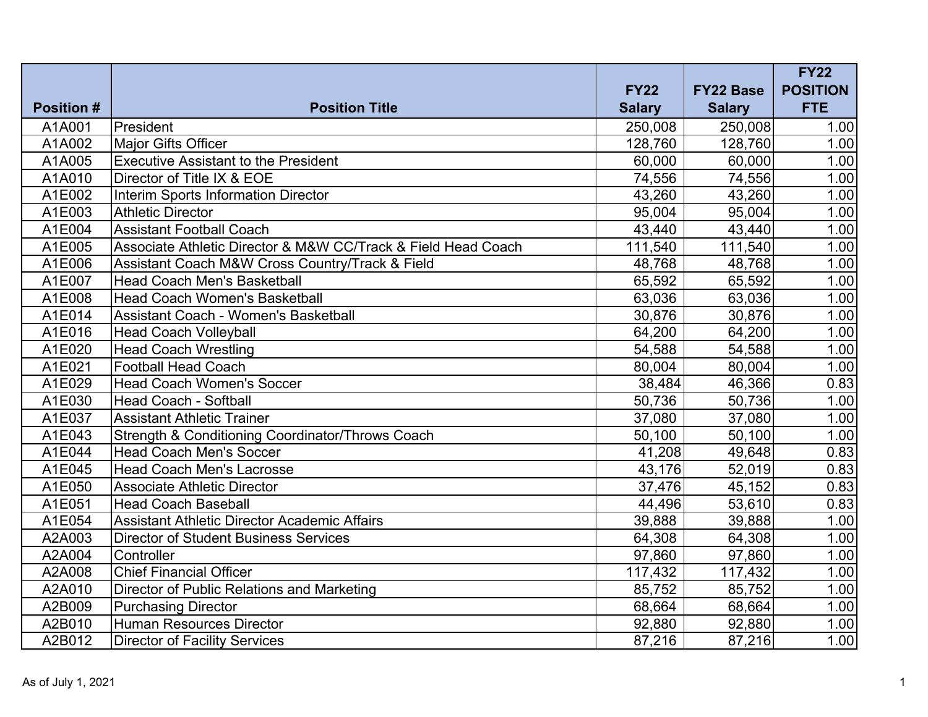| <b>Position #</b> | <b>Position Title</b>                                         | <b>FY22</b><br><b>Salary</b> | <b>FY22 Base</b><br><b>Salary</b> | <b>FY22</b><br><b>POSITION</b><br><b>FTE</b> |
|-------------------|---------------------------------------------------------------|------------------------------|-----------------------------------|----------------------------------------------|
| A1A001            | President                                                     | 250,008                      | 250,008                           | 1.00                                         |
| A1A002            | Major Gifts Officer                                           | 128,760                      | 128,760                           | 1.00                                         |
| A1A005            | <b>Executive Assistant to the President</b>                   | 60,000                       | 60,000                            | 1.00                                         |
| A1A010            | Director of Title IX & EOE                                    | 74,556                       | 74,556                            | 1.00                                         |
| A1E002            | <b>Interim Sports Information Director</b>                    | 43,260                       | 43,260                            | 1.00                                         |
| A1E003            | <b>Athletic Director</b>                                      | 95,004                       | 95,004                            | 1.00                                         |
| A1E004            | <b>Assistant Football Coach</b>                               | 43,440                       | 43,440                            | 1.00                                         |
| A1E005            | Associate Athletic Director & M&W CC/Track & Field Head Coach | 111,540                      | 111,540                           | 1.00                                         |
| A1E006            | Assistant Coach M&W Cross Country/Track & Field               | 48,768                       | 48,768                            | 1.00                                         |
| A1E007            | <b>Head Coach Men's Basketball</b>                            | 65,592                       | 65,592                            | 1.00                                         |
| A1E008            | <b>Head Coach Women's Basketball</b>                          | 63,036                       | 63,036                            | 1.00                                         |
| A1E014            | Assistant Coach - Women's Basketball                          | 30,876                       | 30,876                            | 1.00                                         |
| A1E016            | <b>Head Coach Volleyball</b>                                  | 64,200                       | 64,200                            | 1.00                                         |
| A1E020            | <b>Head Coach Wrestling</b>                                   | 54,588                       | 54,588                            | 1.00                                         |
| A1E021            | <b>Football Head Coach</b>                                    | 80,004                       | 80,004                            | 1.00                                         |
| A1E029            | <b>Head Coach Women's Soccer</b>                              | 38,484                       | 46,366                            | 0.83                                         |
| A1E030            | <b>Head Coach - Softball</b>                                  | 50,736                       | 50,736                            | 1.00                                         |
| A1E037            | <b>Assistant Athletic Trainer</b>                             | 37,080                       | 37,080                            | 1.00                                         |
| A1E043            | Strength & Conditioning Coordinator/Throws Coach              | 50,100                       | 50,100                            | 1.00                                         |
| A1E044            | <b>Head Coach Men's Soccer</b>                                | 41,208                       | 49,648                            | 0.83                                         |
| A1E045            | <b>Head Coach Men's Lacrosse</b>                              | 43,176                       | 52,019                            | 0.83                                         |
| A1E050            | <b>Associate Athletic Director</b>                            | 37,476                       | 45,152                            | 0.83                                         |
| A1E051            | <b>Head Coach Baseball</b>                                    | 44,496                       | 53,610                            | 0.83                                         |
| A1E054            | <b>Assistant Athletic Director Academic Affairs</b>           | 39,888                       | 39,888                            | 1.00                                         |
| A2A003            | <b>Director of Student Business Services</b>                  | 64,308                       | 64,308                            | 1.00                                         |
| A2A004            | Controller                                                    | 97,860                       | 97,860                            | 1.00                                         |
| A2A008            | <b>Chief Financial Officer</b>                                | 117,432                      | 117,432                           | 1.00                                         |
| A2A010            | Director of Public Relations and Marketing                    | 85,752                       | 85,752                            | 1.00                                         |
| A2B009            | <b>Purchasing Director</b>                                    | 68,664                       | 68,664                            | 1.00                                         |
| A2B010            | <b>Human Resources Director</b>                               | 92,880                       | 92,880                            | 1.00                                         |
| A2B012            | <b>Director of Facility Services</b>                          | 87,216                       | 87,216                            | 1.00                                         |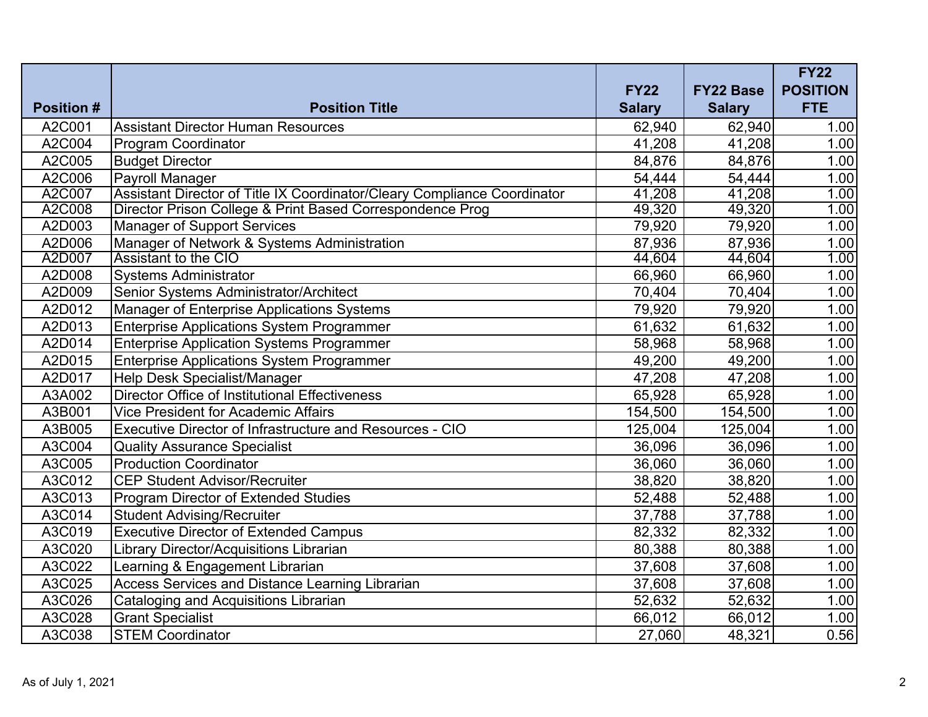|                   |                                                                          |                              |                                   | <b>FY22</b>                   |
|-------------------|--------------------------------------------------------------------------|------------------------------|-----------------------------------|-------------------------------|
| <b>Position #</b> | <b>Position Title</b>                                                    | <b>FY22</b><br><b>Salary</b> | <b>FY22 Base</b><br><b>Salary</b> | <b>POSITION</b><br><b>FTE</b> |
| A2C001            | <b>Assistant Director Human Resources</b>                                | 62,940                       | 62,940                            | 1.00                          |
| A2C004            | <b>Program Coordinator</b>                                               | 41,208                       | 41,208                            | 1.00                          |
| A2C005            | <b>Budget Director</b>                                                   | 84,876                       | 84,876                            | 1.00                          |
| A2C006            | Payroll Manager                                                          | 54,444                       | 54,444                            | 1.00                          |
| A2C007            | Assistant Director of Title IX Coordinator/Cleary Compliance Coordinator | 41,208                       | 41,208                            | 1.00                          |
| A2C008            | Director Prison College & Print Based Correspondence Prog                | 49,320                       | 49,320                            | 1.00                          |
| A2D003            | <b>Manager of Support Services</b>                                       | 79,920                       | 79,920                            | 1.00                          |
| A2D006            | Manager of Network & Systems Administration                              | 87,936                       | 87,936                            | 1.00                          |
| A2D007            | <b>Assistant to the CIO</b>                                              | 44,604                       | 44,604                            | 1.00                          |
| A2D008            | <b>Systems Administrator</b>                                             | 66,960                       | 66,960                            | 1.00                          |
| A2D009            | Senior Systems Administrator/Architect                                   | 70,404                       | 70,404                            | 1.00                          |
| A2D012            | <b>Manager of Enterprise Applications Systems</b>                        | 79,920                       | 79,920                            | 1.00                          |
| A2D013            | <b>Enterprise Applications System Programmer</b>                         | 61,632                       | 61,632                            | 1.00                          |
| A2D014            | <b>Enterprise Application Systems Programmer</b>                         | 58,968                       | 58,968                            | 1.00                          |
| A2D015            | <b>Enterprise Applications System Programmer</b>                         | 49,200                       | 49,200                            | 1.00                          |
| A2D017            | Help Desk Specialist/Manager                                             | 47,208                       | 47,208                            | 1.00                          |
| A3A002            | Director Office of Institutional Effectiveness                           | 65,928                       | 65,928                            | 1.00                          |
| A3B001            | <b>Vice President for Academic Affairs</b>                               | 154,500                      | 154,500                           | 1.00                          |
| A3B005            | Executive Director of Infrastructure and Resources - CIO                 | 125,004                      | 125,004                           | 1.00                          |
| A3C004            | <b>Quality Assurance Specialist</b>                                      | 36,096                       | 36,096                            | 1.00                          |
| A3C005            | <b>Production Coordinator</b>                                            | 36,060                       | 36,060                            | 1.00                          |
| A3C012            | <b>CEP Student Advisor/Recruiter</b>                                     | 38,820                       | 38,820                            | 1.00                          |
| A3C013            | Program Director of Extended Studies                                     | 52,488                       | 52,488                            | 1.00                          |
| A3C014            | <b>Student Advising/Recruiter</b>                                        | 37,788                       | 37,788                            | 1.00                          |
| A3C019            | <b>Executive Director of Extended Campus</b>                             | 82,332                       | 82,332                            | 1.00                          |
| A3C020            | Library Director/Acquisitions Librarian                                  | 80,388                       | 80,388                            | 1.00                          |
| A3C022            | Learning & Engagement Librarian                                          | 37,608                       | 37,608                            | 1.00                          |
| A3C025            | Access Services and Distance Learning Librarian                          | 37,608                       | 37,608                            | 1.00                          |
| A3C026            | <b>Cataloging and Acquisitions Librarian</b>                             | 52,632                       | 52,632                            | 1.00                          |
| A3C028            | <b>Grant Specialist</b>                                                  | 66,012                       | 66,012                            | 1.00                          |
| A3C038            | <b>STEM Coordinator</b>                                                  | 27,060                       | 48,321                            | 0.56                          |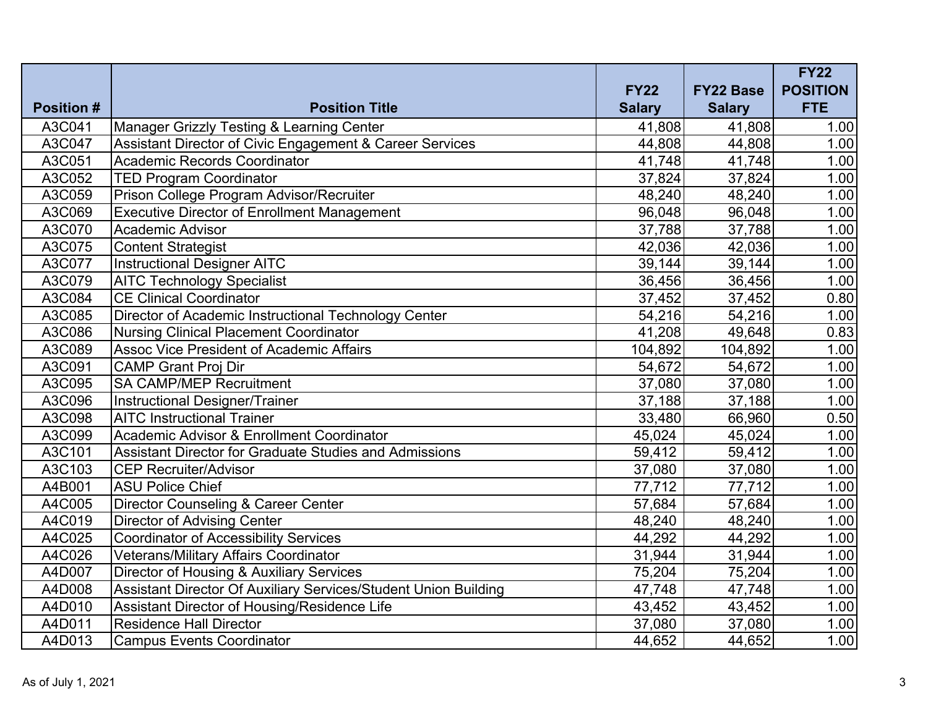| <b>Position #</b> | <b>Position Title</b>                                           | <b>FY22</b><br><b>Salary</b> | <b>FY22 Base</b><br><b>Salary</b> | <b>FY22</b><br><b>POSITION</b><br><b>FTE</b> |
|-------------------|-----------------------------------------------------------------|------------------------------|-----------------------------------|----------------------------------------------|
| A3C041            | <b>Manager Grizzly Testing &amp; Learning Center</b>            | 41,808                       | 41,808                            | 1.00                                         |
| A3C047            | Assistant Director of Civic Engagement & Career Services        | 44,808                       | 44,808                            | 1.00                                         |
| A3C051            | Academic Records Coordinator                                    | 41,748                       | 41,748                            | 1.00                                         |
| A3C052            | <b>TED Program Coordinator</b>                                  | 37,824                       | 37,824                            | 1.00                                         |
| A3C059            | Prison College Program Advisor/Recruiter                        | 48,240                       | 48,240                            | 1.00                                         |
| A3C069            | <b>Executive Director of Enrollment Management</b>              | 96,048                       | 96,048                            | 1.00                                         |
| A3C070            | Academic Advisor                                                | 37,788                       | 37,788                            | 1.00                                         |
| A3C075            | <b>Content Strategist</b>                                       | 42,036                       | 42,036                            | 1.00                                         |
| A3C077            | <b>Instructional Designer AITC</b>                              | 39,144                       | 39,144                            | 1.00                                         |
| A3C079            | <b>AITC Technology Specialist</b>                               | 36,456                       | 36,456                            | 1.00                                         |
| A3C084            | <b>CE Clinical Coordinator</b>                                  | 37,452                       | 37,452                            | 0.80                                         |
| A3C085            | Director of Academic Instructional Technology Center            | 54,216                       | 54,216                            | 1.00                                         |
| A3C086            | <b>Nursing Clinical Placement Coordinator</b>                   | 41,208                       | 49,648                            | 0.83                                         |
| A3C089            | <b>Assoc Vice President of Academic Affairs</b>                 | 104,892                      | 104,892                           | 1.00                                         |
| A3C091            | <b>CAMP Grant Proj Dir</b>                                      | 54,672                       | 54,672                            | 1.00                                         |
| A3C095            | <b>SA CAMP/MEP Recruitment</b>                                  | 37,080                       | 37,080                            | 1.00                                         |
| A3C096            | Instructional Designer/Trainer                                  | 37,188                       | 37,188                            | 1.00                                         |
| A3C098            | <b>AITC Instructional Trainer</b>                               | 33,480                       | 66,960                            | 0.50                                         |
| A3C099            | Academic Advisor & Enrollment Coordinator                       | 45,024                       | 45,024                            | 1.00                                         |
| A3C101            | <b>Assistant Director for Graduate Studies and Admissions</b>   | 59,412                       | 59,412                            | 1.00                                         |
| A3C103            | <b>CEP Recruiter/Advisor</b>                                    | 37,080                       | 37,080                            | 1.00                                         |
| A4B001            | <b>ASU Police Chief</b>                                         | 77,712                       | 77,712                            | 1.00                                         |
| A4C005            | Director Counseling & Career Center                             | 57,684                       | 57,684                            | 1.00                                         |
| A4C019            | <b>Director of Advising Center</b>                              | 48,240                       | 48,240                            | 1.00                                         |
| A4C025            | Coordinator of Accessibility Services                           | 44,292                       | 44,292                            | 1.00                                         |
| A4C026            | Veterans/Military Affairs Coordinator                           | 31,944                       | 31,944                            | 1.00                                         |
| A4D007            | Director of Housing & Auxiliary Services                        | 75,204                       | 75,204                            | 1.00                                         |
| A4D008            | Assistant Director Of Auxiliary Services/Student Union Building | 47,748                       | 47,748                            | 1.00                                         |
| A4D010            | Assistant Director of Housing/Residence Life                    | 43,452                       | 43,452                            | 1.00                                         |
| A4D011            | <b>Residence Hall Director</b>                                  | 37,080                       | 37,080                            | 1.00                                         |
| A4D013            | <b>Campus Events Coordinator</b>                                | 44,652                       | 44,652                            | 1.00                                         |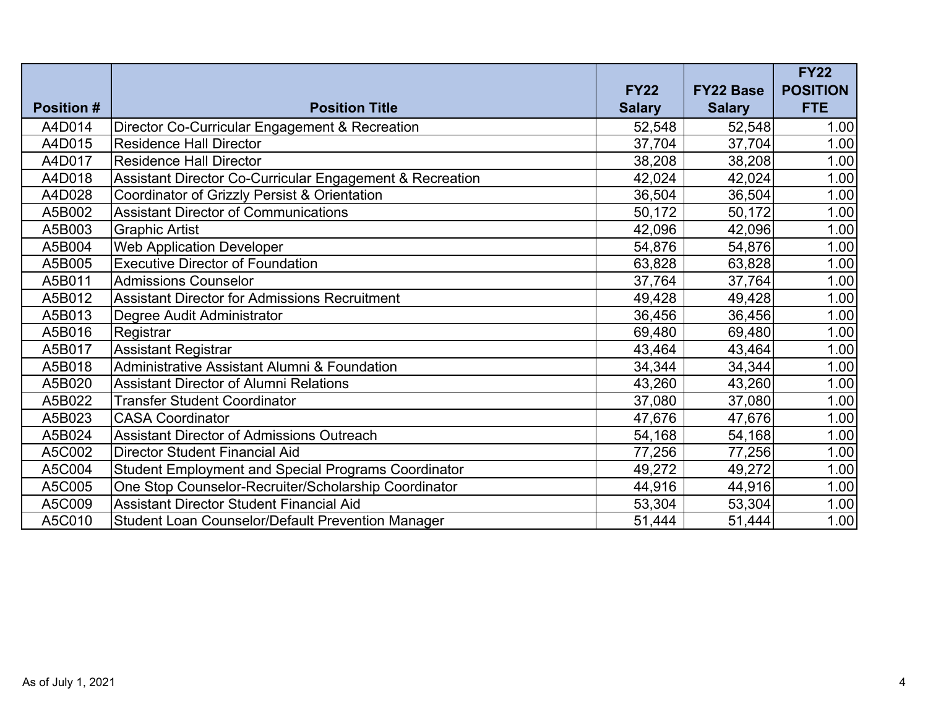|                   |                                                            | <b>FY22</b>   | <b>FY22 Base</b> | <b>FY22</b><br><b>POSITION</b> |
|-------------------|------------------------------------------------------------|---------------|------------------|--------------------------------|
| <b>Position #</b> | <b>Position Title</b>                                      | <b>Salary</b> | <b>Salary</b>    | <b>FTE</b>                     |
| A4D014            | Director Co-Curricular Engagement & Recreation             | 52,548        | 52,548           | 1.00                           |
| A4D015            | <b>Residence Hall Director</b>                             | 37,704        | 37,704           | 1.00                           |
| A4D017            | <b>Residence Hall Director</b>                             | 38,208        | 38,208           | 1.00                           |
| A4D018            | Assistant Director Co-Curricular Engagement & Recreation   | 42,024        | 42,024           | 1.00                           |
| A4D028            | Coordinator of Grizzly Persist & Orientation               | 36,504        | 36,504           | 1.00                           |
| A5B002            | <b>Assistant Director of Communications</b>                | 50,172        | 50,172           | 1.00                           |
| A5B003            | <b>Graphic Artist</b>                                      | 42,096        | 42,096           | 1.00                           |
| A5B004            | <b>Web Application Developer</b>                           | 54,876        | 54,876           | 1.00                           |
| A5B005            | <b>Executive Director of Foundation</b>                    | 63,828        | 63,828           | 1.00                           |
| A5B011            | <b>Admissions Counselor</b>                                | 37,764        | 37,764           | 1.00                           |
| A5B012            | <b>Assistant Director for Admissions Recruitment</b>       | 49,428        | 49,428           | 1.00                           |
| A5B013            | Degree Audit Administrator                                 | 36,456        | 36,456           | 1.00                           |
| A5B016            | Registrar                                                  | 69,480        | 69,480           | 1.00                           |
| A5B017            | <b>Assistant Registrar</b>                                 | 43,464        | 43,464           | 1.00                           |
| A5B018            | Administrative Assistant Alumni & Foundation               | 34,344        | 34,344           | 1.00                           |
| A5B020            | <b>Assistant Director of Alumni Relations</b>              | 43,260        | 43,260           | 1.00                           |
| A5B022            | Transfer Student Coordinator                               | 37,080        | 37,080           | 1.00                           |
| A5B023            | <b>CASA Coordinator</b>                                    | 47,676        | 47,676           | 1.00                           |
| A5B024            | <b>Assistant Director of Admissions Outreach</b>           | 54,168        | 54,168           | 1.00                           |
| A5C002            | <b>Director Student Financial Aid</b>                      | 77,256        | 77,256           | 1.00                           |
| A5C004            | <b>Student Employment and Special Programs Coordinator</b> | 49,272        | 49,272           | 1.00                           |
| A5C005            | One Stop Counselor-Recruiter/Scholarship Coordinator       | 44,916        | 44,916           | 1.00                           |
| A5C009            | <b>Assistant Director Student Financial Aid</b>            | 53,304        | 53,304           | 1.00                           |
| A5C010            | <b>Student Loan Counselor/Default Prevention Manager</b>   | 51,444        | 51,444           | 1.00                           |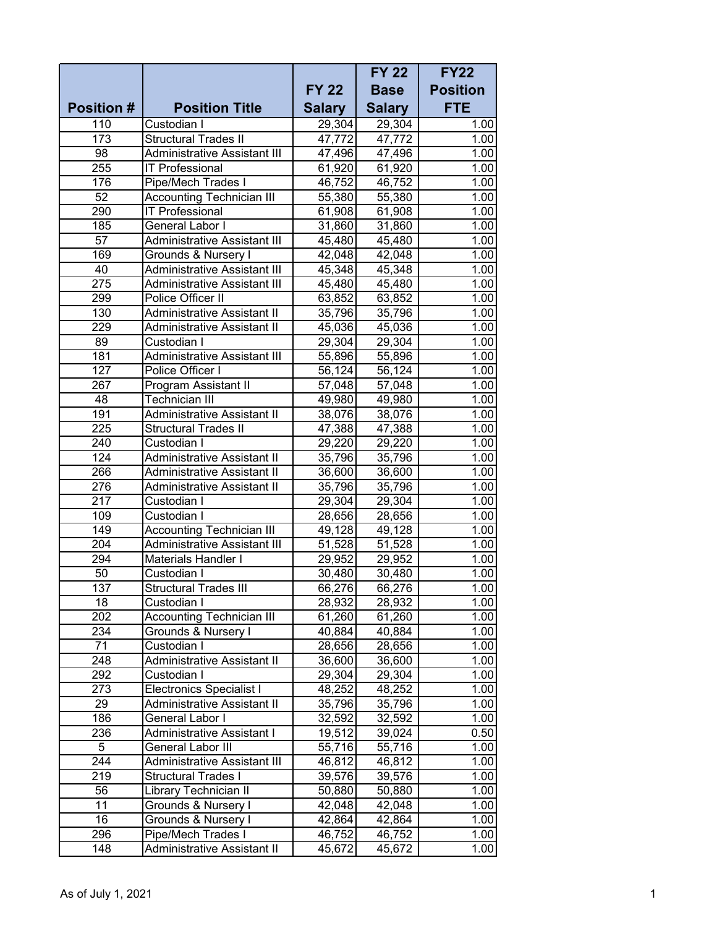|                   |                                     |               | <b>FY 22</b>  | <b>FY22</b>     |
|-------------------|-------------------------------------|---------------|---------------|-----------------|
|                   |                                     | <b>FY 22</b>  | <b>Base</b>   | <b>Position</b> |
| <b>Position #</b> | <b>Position Title</b>               | <b>Salary</b> | <b>Salary</b> | <b>FTE</b>      |
| 110               | Custodian I                         | 29,304        | 29,304        | 1.00            |
| 173               | <b>Structural Trades II</b>         | 47,772        | 47,772        | 1.00            |
| 98                | <b>Administrative Assistant III</b> | 47,496        | 47,496        | 1.00            |
| 255               | <b>IT Professional</b>              | 61,920        | 61,920        | 1.00            |
| 176               | Pipe/Mech Trades I                  | 46,752        | 46,752        | 1.00            |
| 52                | <b>Accounting Technician III</b>    | 55,380        | 55,380        | 1.00            |
| 290               | <b>IT Professional</b>              | 61,908        | 61,908        | 1.00            |
| 185               | General Labor I                     | 31,860        | 31,860        | 1.00            |
| $\overline{57}$   | <b>Administrative Assistant III</b> | 45,480        | 45,480        | 1.00            |
| 169               | Grounds & Nursery I                 | 42,048        | 42,048        | 1.00            |
| 40                | <b>Administrative Assistant III</b> | 45,348        | 45,348        | 1.00            |
| 275               | <b>Administrative Assistant III</b> | 45,480        | 45,480        | 1.00            |
| 299               | Police Officer II                   | 63,852        | 63,852        | 1.00            |
| 130               | <b>Administrative Assistant II</b>  | 35,796        | 35,796        | 1.00            |
| 229               | Administrative Assistant II         | 45,036        | 45,036        | 1.00            |
| 89                | Custodian I                         | 29,304        | 29,304        | 1.00            |
| 181               | <b>Administrative Assistant III</b> | 55,896        | 55,896        | 1.00            |
| 127               | Police Officer I                    | 56,124        | 56,124        | 1.00            |
| 267               | Program Assistant II                | 57,048        | 57,048        | 1.00            |
| 48                | Technician III                      | 49,980        | 49,980        | 1.00            |
| 191               | <b>Administrative Assistant II</b>  | 38,076        | 38,076        | 1.00            |
| 225               | Structural Trades II                | 47,388        | 47,388        | 1.00            |
| 240               | Custodian I                         | 29,220        | 29,220        | 1.00            |
| 124               | <b>Administrative Assistant II</b>  | 35,796        | 35,796        | 1.00            |
| 266               | Administrative Assistant II         | 36,600        | 36,600        | 1.00            |
| 276               | Administrative Assistant II         | 35,796        | 35,796        | 1.00            |
| 217               | Custodian I                         | 29,304        | 29,304        | 1.00            |
| 109               | Custodian I                         | 28,656        | 28,656        | 1.00            |
| 149               | <b>Accounting Technician III</b>    | 49,128        | 49,128        | 1.00            |
| 204               | <b>Administrative Assistant III</b> | 51,528        | 51,528        | 1.00            |
| 294               | <b>Materials Handler I</b>          | 29,952        | 29,952        | 1.00            |
| 50                | Custodian I                         | 30,480        | 30,480        | 1.00            |
| 137               | Structural Trades III               | 66,276        | 66,276        | 1.00            |
| 18                | Custodian I                         | 28,932        | 28,932        | 1.00            |
| 202               | <b>Accounting Technician III</b>    | 61,260        | 61,260        | 1.00            |
| 234               | Grounds & Nursery I                 | 40,884        | 40,884        | 1.00            |
| 71                | Custodian I                         | 28,656        | 28,656        | 1.00            |
| 248               | <b>Administrative Assistant II</b>  | 36,600        | 36,600        | 1.00            |
| 292               | Custodian I                         | 29,304        | 29,304        | 1.00            |
| 273               | <b>Electronics Specialist I</b>     | 48,252        | 48,252        | 1.00            |
| 29                | <b>Administrative Assistant II</b>  | 35,796        | 35,796        | 1.00            |
| 186               | General Labor I                     | 32,592        | 32,592        | 1.00            |
| 236               | Administrative Assistant I          | 19,512        | 39,024        | 0.50            |
| 5                 | General Labor III                   | 55,716        | 55,716        | 1.00            |
| 244               | Administrative Assistant III        | 46,812        | 46,812        | 1.00            |
| 219               | Structural Trades I                 | 39,576        | 39,576        | 1.00            |
| 56                | Library Technician II               | 50,880        | 50,880        | 1.00            |
| 11                | Grounds & Nursery I                 | 42,048        | 42,048        | 1.00            |
| 16                | Grounds & Nursery I                 | 42,864        | 42,864        | 1.00            |
| 296               | Pipe/Mech Trades I                  | 46,752        | 46,752        | 1.00            |
| 148               | Administrative Assistant II         | 45,672        | 45,672        | 1.00            |